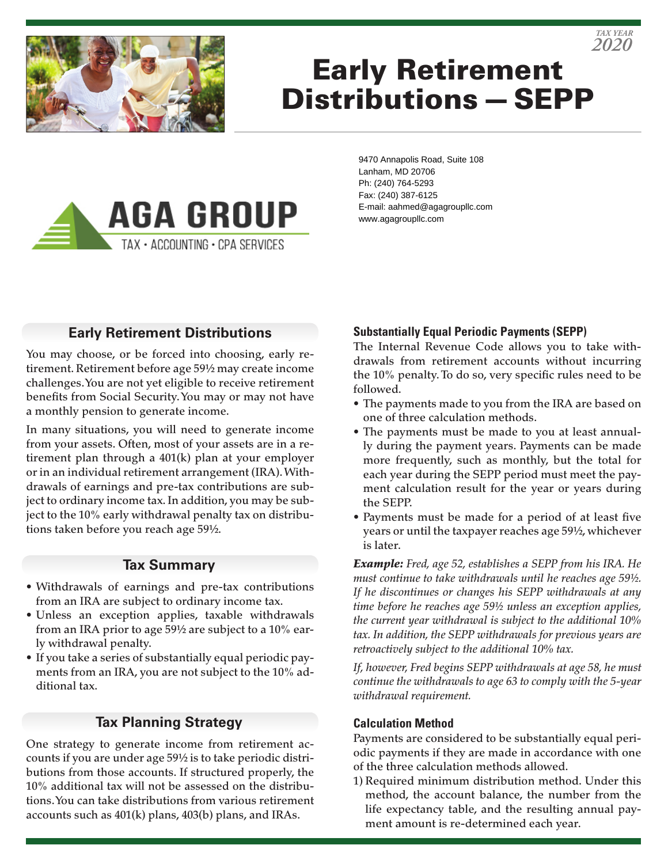

# Early Retirement Distributions—SEPP



9470 Annapolis Road, Suite 108 Lanham, MD 20706 Ph: (240) 764-5293 Fax: (240) 387-6125 E-mail: aahmed@agagroupllc.com www.agagroupllc.com

# **Early Retirement Distributions**

You may choose, or be forced into choosing, early retirement. Retirement before age 59½ may create income challenges. You are not yet eligible to receive retirement benefits from Social Security. You may or may not have a monthly pension to generate income.

In many situations, you will need to generate income from your assets. Often, most of your assets are in a retirement plan through a 401(k) plan at your employer or in an individual retirement arrangement (IRA). Withdrawals of earnings and pre-tax contributions are subject to ordinary income tax. In addition, you may be subject to the 10% early withdrawal penalty tax on distributions taken before you reach age 59½.

## **Tax Summary**

- Withdrawals of earnings and pre-tax contributions from an IRA are subject to ordinary income tax.
- Unless an exception applies, taxable withdrawals from an IRA prior to age 59½ are subject to a 10% early withdrawal penalty.
- If you take a series of substantially equal periodic payments from an IRA, you are not subject to the 10% additional tax.

## **Tax Planning Strategy**

One strategy to generate income from retirement accounts if you are under age 59½ is to take periodic distributions from those accounts. If structured properly, the 10% additional tax will not be assessed on the distributions. You can take distributions from various retirement accounts such as 401(k) plans, 403(b) plans, and IRAs.

## **Substantially Equal Periodic Payments (SEPP)**

The Internal Revenue Code allows you to take withdrawals from retirement accounts without incurring the 10% penalty. To do so, very specific rules need to be followed.

- The payments made to you from the IRA are based on one of three calculation methods.
- The payments must be made to you at least annually during the payment years. Payments can be made more frequently, such as monthly, but the total for each year during the SEPP period must meet the payment calculation result for the year or years during the SEPP.
- Payments must be made for a period of at least five years or until the taxpayer reaches age 59½, whichever is later.

*Example: Fred, age 52, establishes a SEPP from his IRA. He must continue to take withdrawals until he reaches age 59½. If he discontinues or changes his SEPP withdrawals at any time before he reaches age 59½ unless an exception applies, the current year withdrawal is subject to the additional 10% tax. In addition, the SEPP withdrawals for previous years are retroactively subject to the additional 10% tax.*

*If, however, Fred begins SEPP withdrawals at age 58, he must continue the withdrawals to age 63 to comply with the 5-year withdrawal requirement.*

#### **Calculation Method**

Payments are considered to be substantially equal periodic payments if they are made in accordance with one of the three calculation methods allowed.

1) Required minimum distribution method. Under this method, the account balance, the number from the life expectancy table, and the resulting annual payment amount is re-determined each year.